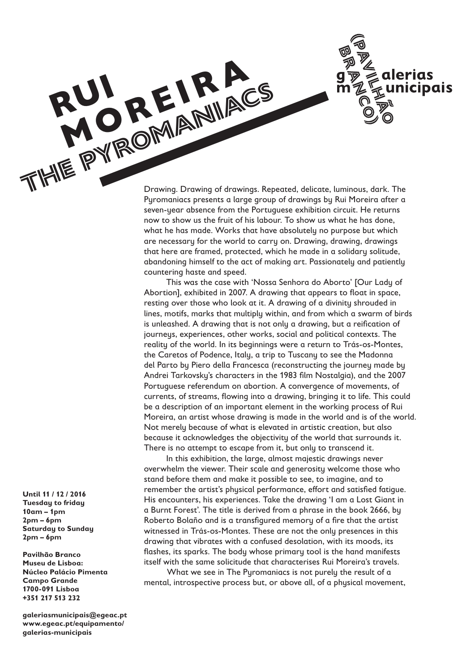alerias unicipais

Drawing. Drawing of drawings. Repeated, delicate, luminous, dark. The Pyromaniacs presents a large group of drawings by Rui Moreira after a seven-year absence from the Portuguese exhibition circuit. He returns now to show us the fruit of his labour. To show us what he has done, what he has made. Works that have absolutely no purpose but which are necessary for the world to carry on. Drawing, drawing, drawings that here are framed, protected, which he made in a solidary solitude, abandoning himself to the act of making art. Passionately and patiently countering haste and speed. **RUPARE PYROMANIACS**<br>THE PYROMANIACS

> This was the case with 'Nossa Senhora do Aborto' [Our Lady of Abortion], exhibited in 2007. A drawing that appears to float in space, resting over those who look at it. A drawing of a divinity shrouded in lines, motifs, marks that multiply within, and from which a swarm of birds is unleashed. A drawing that is not only a drawing, but a reification of journeys, experiences, other works, social and political contexts. The reality of the world. In its beginnings were a return to Trás-os-Montes, the Caretos of Podence, Italy, a trip to Tuscany to see the Madonna del Parto by Piero della Francesca (reconstructing the journey made by Andrei Tarkovsky's characters in the 1983 film Nostalgia), and the 2007 Portuguese referendum on abortion. A convergence of movements, of currents, of streams, flowing into a drawing, bringing it to life. This could be a description of an important element in the working process of Rui Moreira, an artist whose drawing is made in the world and is of the world. Not merely because of what is elevated in artistic creation, but also because it acknowledges the objectivity of the world that surrounds it. There is no attempt to escape from it, but only to transcend it.

In this exhibition, the large, almost majestic drawings never overwhelm the viewer. Their scale and generosity welcome those who stand before them and make it possible to see, to imagine, and to remember the artist's physical performance, effort and satisfied fatigue. His encounters, his experiences. Take the drawing 'I am a Lost Giant in a Burnt Forest'. The title is derived from a phrase in the book 2666, by Roberto Bolaño and is a transfigured memory of a fire that the artist witnessed in Trás-os-Montes. These are not the only presences in this drawing that vibrates with a confused desolation, with its moods, its flashes, its sparks. The body whose primary tool is the hand manifests itself with the same solicitude that characterises Rui Moreira's travels.

What we see in The Pyromaniacs is not purely the result of a mental, introspective process but, or above all, of a physical movement,

**Until 11 / 12 / 2016 Tuesday to friday 10am – 1pm 2pm – 6pm Saturday to Sunday 2pm – 6pm**

**rui** 

**MOREIRA** 

**Pavilhão Branco Museu de Lisboa: Núcleo Palácio Pimenta Campo Grande 1700-091 Lisboa +351 217 513 232**

**galeriasmunicipais@egeac.pt www.egeac.pt/equipamento/ galerias-municipais**